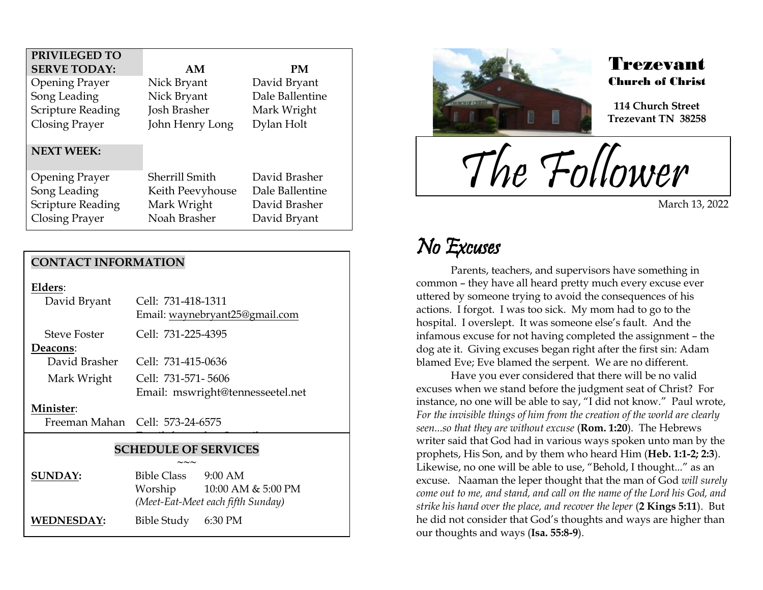| PRIVILEGED TO            |                  |                 |
|--------------------------|------------------|-----------------|
| <b>SERVE TODAY:</b>      | AM               | <b>PM</b>       |
| <b>Opening Prayer</b>    | Nick Bryant      | David Bryant    |
| Song Leading             | Nick Bryant      | Dale Ballentine |
| <b>Scripture Reading</b> | Josh Brasher     | Mark Wright     |
| Closing Prayer           | John Henry Long  | Dylan Holt      |
|                          |                  |                 |
| <b>NEXT WEEK:</b>        |                  |                 |
| <b>Opening Prayer</b>    | Sherrill Smith   | David Brasher   |
| Song Leading             | Keith Peevyhouse | Dale Ballentine |
| <b>Scripture Reading</b> | Mark Wright      | David Brasher   |
| Closing Prayer           | Noah Brasher     | David Bryant    |

#### **CONTACT INFORMATION**

|--|

| David Bryant        | Cell: 731-418-1311<br>Email: waynebryant25@gmail.com |
|---------------------|------------------------------------------------------|
| <b>Steve Foster</b> | Cell: 731-225-4395                                   |
| Deacons:            |                                                      |
| David Brasher       | Cell: 731-415-0636                                   |
| Mark Wright         | Cell: 731-571-5606                                   |
|                     | Email: mswright@tennesseetel.net                     |
|                     |                                                      |

#### **Minister**:

Freeman Mahan Cell: 573-24-6575

#### **SCHEDULE OF SERVICES**

 $\overline{\phantom{a}}$ 

|                | $\sim\sim\sim$                    |                    |
|----------------|-----------------------------------|--------------------|
| <b>SUNDAY:</b> | <b>Bible Class</b>                | $9:00$ AM          |
|                | Worship                           | 10:00 AM & 5:00 PM |
|                | (Meet-Eat-Meet each fifth Sunday) |                    |
| WEDNESDAY:     | Bible Study 6:30 PM               |                    |



### Trezevant Church of Christ

**114 Church Street Trezevant TN 38258**

The Follower

March 13, 2022

## No Excuses

.<br>F

Parents, teachers, and supervisors have something in common – they have all heard pretty much every excuse ever uttered by someone trying to avoid the consequences of his actions. I forgot. I was too sick. My mom had to go to the hospital. I overslept. It was someone else's fault. And the infamous excuse for not having completed the assignment – the dog ate it. Giving excuses began right after the first sin: Adam blamed Eve; Eve blamed the serpent. We are no different.

Have you ever considered that there will be no valid excuses when we stand before the judgment seat of Christ? For instance, no one will be able to say, "I did not know." Paul wrote, *For the invisible things of him from the creation of the world are clearly seen...so that they are without excuse* (**Rom. 1:20**). The Hebrews writer said that God had in various ways spoken unto man by the prophets, His Son, and by them who heard Him (**Heb. 1:1-2; 2:3**). Likewise, no one will be able to use, "Behold, I thought..." as an excuse. Naaman the leper thought that the man of God *will surely come out to me, and stand, and call on the name of the Lord his God, and strike his hand over the place, and recover the leper* (**2 Kings 5:11**). But he did not consider that God's thoughts and ways are higher than our thoughts and ways (**Isa. 55:8-9**).